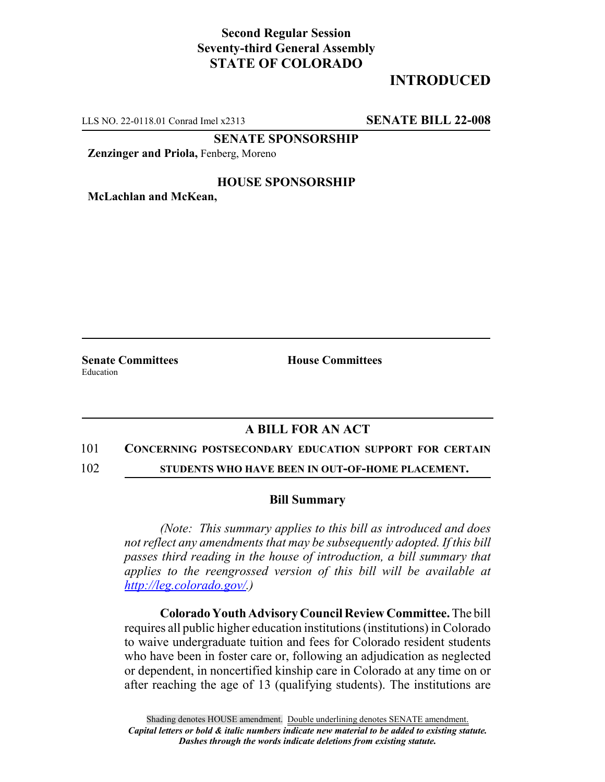## **Second Regular Session Seventy-third General Assembly STATE OF COLORADO**

# **INTRODUCED**

LLS NO. 22-0118.01 Conrad Imel x2313 **SENATE BILL 22-008**

**SENATE SPONSORSHIP**

**Zenzinger and Priola,** Fenberg, Moreno

### **HOUSE SPONSORSHIP**

**McLachlan and McKean,**

Education

**Senate Committees House Committees** 

## **A BILL FOR AN ACT**

#### 101 **CONCERNING POSTSECONDARY EDUCATION SUPPORT FOR CERTAIN**

102 **STUDENTS WHO HAVE BEEN IN OUT-OF-HOME PLACEMENT.**

### **Bill Summary**

*(Note: This summary applies to this bill as introduced and does not reflect any amendments that may be subsequently adopted. If this bill passes third reading in the house of introduction, a bill summary that applies to the reengrossed version of this bill will be available at http://leg.colorado.gov/.)*

**Colorado Youth Advisory Council Review Committee.** The bill requires all public higher education institutions (institutions) in Colorado to waive undergraduate tuition and fees for Colorado resident students who have been in foster care or, following an adjudication as neglected or dependent, in noncertified kinship care in Colorado at any time on or after reaching the age of 13 (qualifying students). The institutions are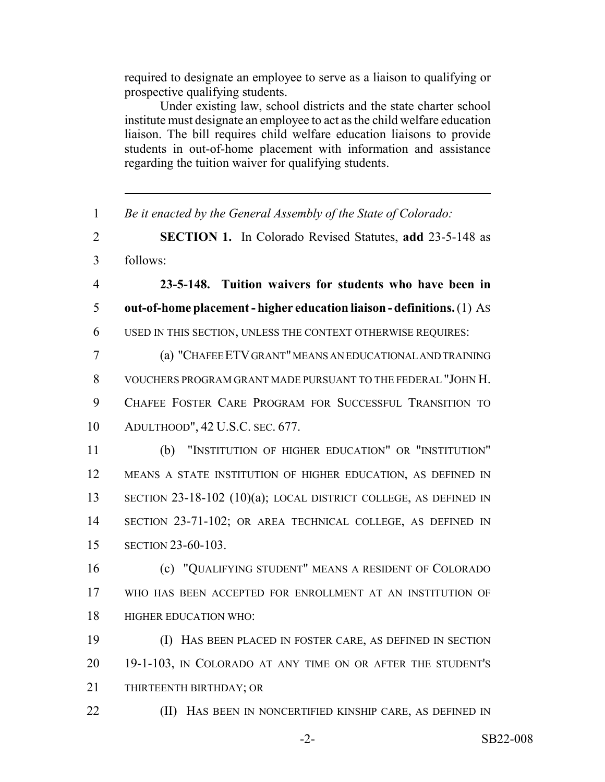required to designate an employee to serve as a liaison to qualifying or prospective qualifying students.

Under existing law, school districts and the state charter school institute must designate an employee to act as the child welfare education liaison. The bill requires child welfare education liaisons to provide students in out-of-home placement with information and assistance regarding the tuition waiver for qualifying students.

 *Be it enacted by the General Assembly of the State of Colorado:* **SECTION 1.** In Colorado Revised Statutes, **add** 23-5-148 as follows: **23-5-148. Tuition waivers for students who have been in out-of-home placement - higher education liaison - definitions.** (1) AS USED IN THIS SECTION, UNLESS THE CONTEXT OTHERWISE REQUIRES: (a) "CHAFEE ETV GRANT" MEANS AN EDUCATIONAL AND TRAINING VOUCHERS PROGRAM GRANT MADE PURSUANT TO THE FEDERAL "JOHN H. CHAFEE FOSTER CARE PROGRAM FOR SUCCESSFUL TRANSITION TO ADULTHOOD", 42 U.S.C. SEC. 677. (b) "INSTITUTION OF HIGHER EDUCATION" OR "INSTITUTION" MEANS A STATE INSTITUTION OF HIGHER EDUCATION, AS DEFINED IN 13 SECTION 23-18-102 (10)(a); LOCAL DISTRICT COLLEGE, AS DEFINED IN SECTION 23-71-102; OR AREA TECHNICAL COLLEGE, AS DEFINED IN SECTION 23-60-103. (c) "QUALIFYING STUDENT" MEANS A RESIDENT OF COLORADO WHO HAS BEEN ACCEPTED FOR ENROLLMENT AT AN INSTITUTION OF HIGHER EDUCATION WHO: (I) HAS BEEN PLACED IN FOSTER CARE, AS DEFINED IN SECTION 19-1-103, IN COLORADO AT ANY TIME ON OR AFTER THE STUDENT'S THIRTEENTH BIRTHDAY; OR **(II)** HAS BEEN IN NONCERTIFIED KINSHIP CARE, AS DEFINED IN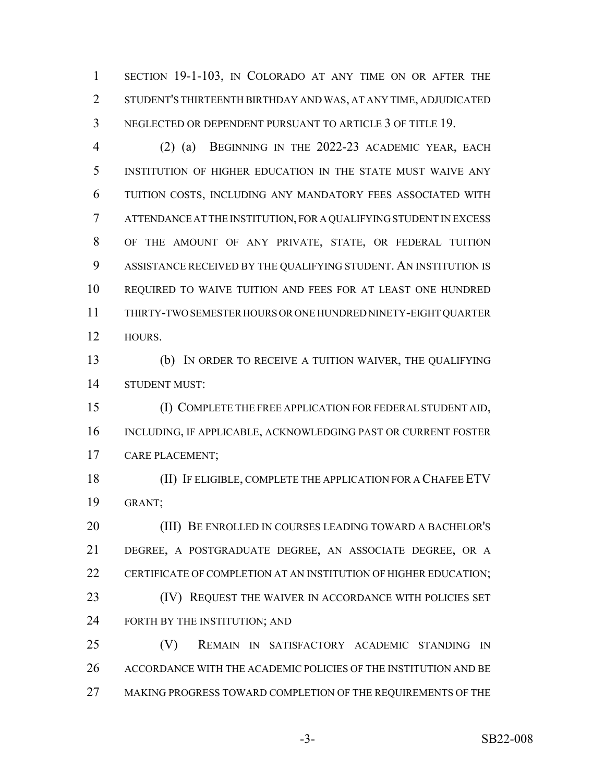SECTION 19-1-103, IN COLORADO AT ANY TIME ON OR AFTER THE STUDENT'S THIRTEENTH BIRTHDAY AND WAS, AT ANY TIME, ADJUDICATED NEGLECTED OR DEPENDENT PURSUANT TO ARTICLE 3 OF TITLE 19.

 (2) (a) BEGINNING IN THE 2022-23 ACADEMIC YEAR, EACH INSTITUTION OF HIGHER EDUCATION IN THE STATE MUST WAIVE ANY TUITION COSTS, INCLUDING ANY MANDATORY FEES ASSOCIATED WITH ATTENDANCE AT THE INSTITUTION, FOR A QUALIFYING STUDENT IN EXCESS OF THE AMOUNT OF ANY PRIVATE, STATE, OR FEDERAL TUITION ASSISTANCE RECEIVED BY THE QUALIFYING STUDENT. AN INSTITUTION IS REQUIRED TO WAIVE TUITION AND FEES FOR AT LEAST ONE HUNDRED THIRTY-TWO SEMESTER HOURS OR ONE HUNDRED NINETY-EIGHT QUARTER HOURS.

 (b) IN ORDER TO RECEIVE A TUITION WAIVER, THE QUALIFYING STUDENT MUST:

 (I) COMPLETE THE FREE APPLICATION FOR FEDERAL STUDENT AID, INCLUDING, IF APPLICABLE, ACKNOWLEDGING PAST OR CURRENT FOSTER CARE PLACEMENT;

18 (II) IF ELIGIBLE, COMPLETE THE APPLICATION FOR A CHAFEE ETV GRANT;

 (III) BE ENROLLED IN COURSES LEADING TOWARD A BACHELOR'S DEGREE, A POSTGRADUATE DEGREE, AN ASSOCIATE DEGREE, OR A CERTIFICATE OF COMPLETION AT AN INSTITUTION OF HIGHER EDUCATION; **(IV) REQUEST THE WAIVER IN ACCORDANCE WITH POLICIES SET** FORTH BY THE INSTITUTION; AND

 (V) REMAIN IN SATISFACTORY ACADEMIC STANDING IN ACCORDANCE WITH THE ACADEMIC POLICIES OF THE INSTITUTION AND BE 27 MAKING PROGRESS TOWARD COMPLETION OF THE REQUIREMENTS OF THE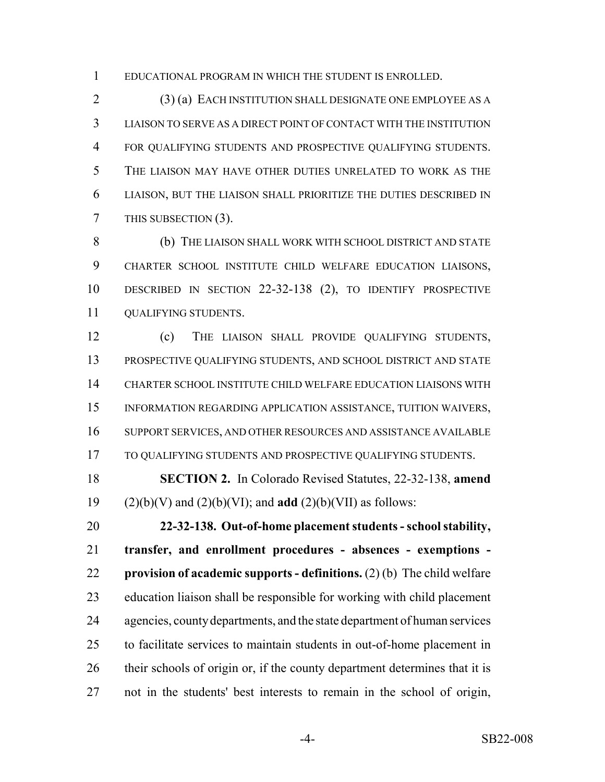EDUCATIONAL PROGRAM IN WHICH THE STUDENT IS ENROLLED.

 (3) (a) EACH INSTITUTION SHALL DESIGNATE ONE EMPLOYEE AS A LIAISON TO SERVE AS A DIRECT POINT OF CONTACT WITH THE INSTITUTION 4 FOR QUALIFYING STUDENTS AND PROSPECTIVE QUALIFYING STUDENTS. THE LIAISON MAY HAVE OTHER DUTIES UNRELATED TO WORK AS THE LIAISON, BUT THE LIAISON SHALL PRIORITIZE THE DUTIES DESCRIBED IN THIS SUBSECTION (3).

 (b) THE LIAISON SHALL WORK WITH SCHOOL DISTRICT AND STATE CHARTER SCHOOL INSTITUTE CHILD WELFARE EDUCATION LIAISONS, DESCRIBED IN SECTION 22-32-138 (2), TO IDENTIFY PROSPECTIVE QUALIFYING STUDENTS.

 (c) THE LIAISON SHALL PROVIDE QUALIFYING STUDENTS, PROSPECTIVE QUALIFYING STUDENTS, AND SCHOOL DISTRICT AND STATE CHARTER SCHOOL INSTITUTE CHILD WELFARE EDUCATION LIAISONS WITH INFORMATION REGARDING APPLICATION ASSISTANCE, TUITION WAIVERS, SUPPORT SERVICES, AND OTHER RESOURCES AND ASSISTANCE AVAILABLE 17 TO QUALIFYING STUDENTS AND PROSPECTIVE QUALIFYING STUDENTS.

 **SECTION 2.** In Colorado Revised Statutes, 22-32-138, **amend** (2)(b)(V) and (2)(b)(VI); and **add** (2)(b)(VII) as follows:

 **22-32-138. Out-of-home placement students - school stability, transfer, and enrollment procedures - absences - exemptions - provision of academic supports - definitions.** (2) (b) The child welfare education liaison shall be responsible for working with child placement agencies, county departments, and the state department of human services to facilitate services to maintain students in out-of-home placement in 26 their schools of origin or, if the county department determines that it is not in the students' best interests to remain in the school of origin,